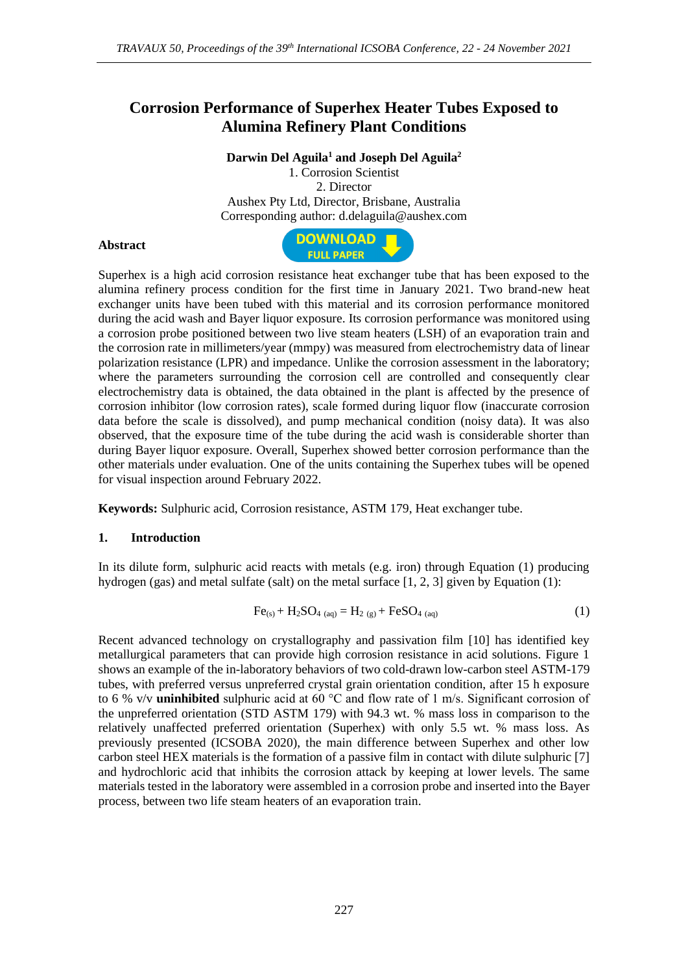## **Corrosion Performance of Superhex Heater Tubes Exposed to Alumina Refinery Plant Conditions**

**Darwin Del Aguila<sup>1</sup> and Joseph Del Aguila<sup>2</sup>**

1. Corrosion Scientist 2. Director Aushex Pty Ltd, Director, Brisbane, Australia Corresponding author: d.delaguila@aushex.com

## **Abstract**



Superhex is a high acid corrosion resistance heat exchanger tube that has been exposed to the alumina refinery process condition for the first time in January 2021. Two brand-new heat exchanger units have been tubed with this material and its corrosion performance monitored during the acid wash and Bayer liquor exposure. Its corrosion performance was monitored using a corrosion probe positioned between two live steam heaters (LSH) of an evaporation train and the corrosion rate in millimeters/year (mmpy) was measured from electrochemistry data of linear polarization resistance (LPR) and impedance. Unlike the corrosion assessment in the laboratory; where the parameters surrounding the corrosion cell are controlled and consequently clear electrochemistry data is obtained, the data obtained in the plant is affected by the presence of corrosion inhibitor (low corrosion rates), scale formed during liquor flow (inaccurate corrosion data before the scale is dissolved), and pump mechanical condition (noisy data). It was also observed, that the exposure time of the tube during the acid wash is considerable shorter than during Bayer liquor exposure. Overall, Superhex showed better corrosion performance than the other materials under evaluation. One of the units containing the Superhex tubes will be opened for visual inspection around February 2022.

**Keywords:** Sulphuric acid, Corrosion resistance, ASTM 179, Heat exchanger tube.

## **1. Introduction**

In its dilute form, sulphuric acid reacts with metals (e.g. iron) through Equation (1) producing hydrogen (gas) and metal sulfate (salt) on the metal surface  $[1, 2, 3]$  given by Equation (1):

$$
Fe_{(s)} + H_2SO_{4\ (aq)} = H_2\ (g) + FeSO_{4\ (aq)}\tag{1}
$$

Recent advanced technology on crystallography and passivation film [10] has identified key metallurgical parameters that can provide high corrosion resistance in acid solutions. Figure 1 shows an example of the in-laboratory behaviors of two cold-drawn low-carbon steel ASTM-179 tubes, with preferred versus unpreferred crystal grain orientation condition, after 15 h exposure to 6 % v/v **uninhibited** sulphuric acid at 60 °C and flow rate of 1 m/s. Significant corrosion of the unpreferred orientation (STD ASTM 179) with 94.3 wt. % mass loss in comparison to the relatively unaffected preferred orientation (Superhex) with only 5.5 wt. % mass loss. As previously presented (ICSOBA 2020), the main difference between Superhex and other low carbon steel HEX materials is the formation of a passive film in contact with dilute sulphuric [7] and hydrochloric acid that inhibits the corrosion attack by keeping at lower levels. The same materials tested in the laboratory were assembled in a corrosion probe and inserted into the Bayer process, between two life steam heaters of an evaporation train.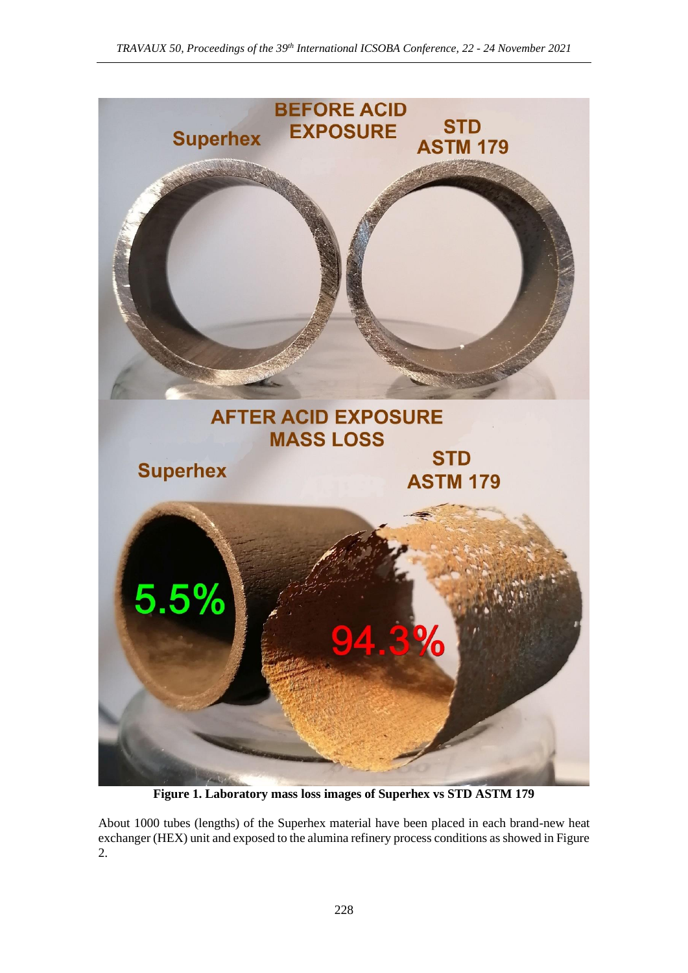

**Figure 1. Laboratory mass loss images of Superhex vs STD ASTM 179** 

About 1000 tubes (lengths) of the Superhex material have been placed in each brand-new heat exchanger (HEX) unit and exposed to the alumina refinery process conditions as showed in Figure 2.